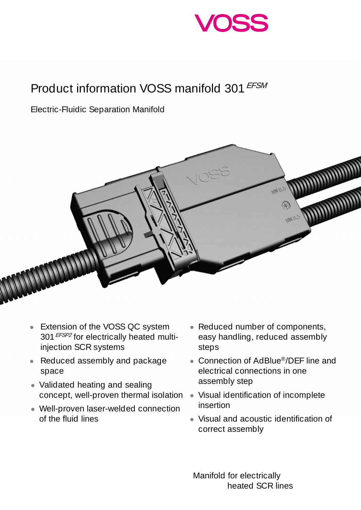

## Product information VOSS manifold 301 EFSM

Electric-Fluidic Separation Manifold



- Extension of the VOSS QC system 301 **EFSP2** for electrically heated multiinjection SCR systems
- Reduced assembly and package space
- Validated heating and sealing concept, well-proven thermal isolation
- Well-proven laser-welded connection of the fluid lines
- Reduced number of components, easy handling, reduced assembly steps
- Connection of AdBlue®/DEF line and electrical connections in one assembly step
- Visual identification of incomplete insertion
- Visual and acoustic identification of correct assembly

 Manifold for electrically heated SCR lines